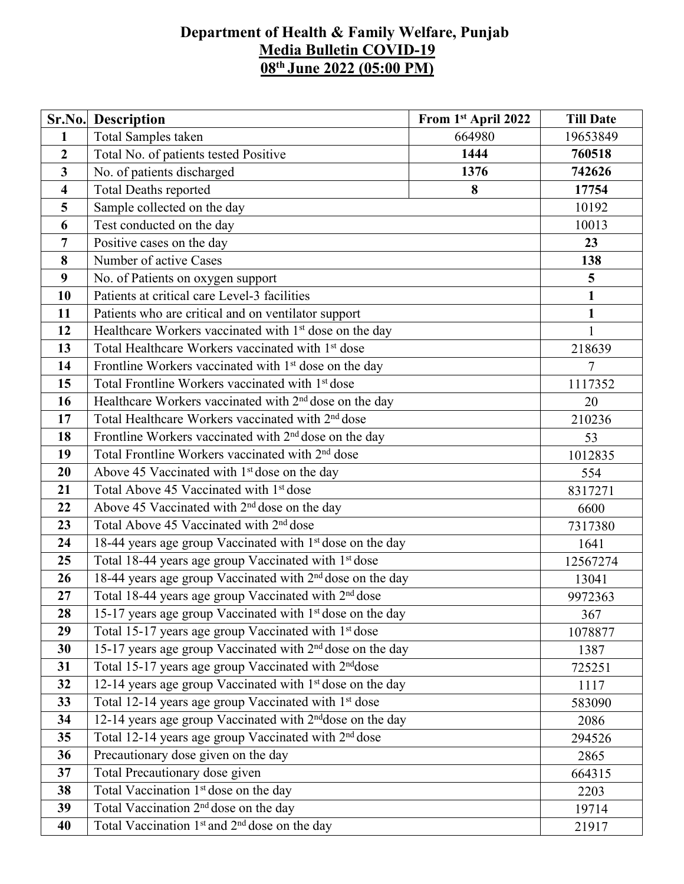## **Department of Health & Family Welfare, Punjab Media Bulletin COVID-19 08 th June 2022 (05:00 PM)**

|                         | <b>Sr.No.</b> Description                                             | From 1st April 2022 | <b>Till Date</b> |  |  |  |
|-------------------------|-----------------------------------------------------------------------|---------------------|------------------|--|--|--|
| $\mathbf{1}$            | Total Samples taken                                                   | 664980              | 19653849         |  |  |  |
| $\overline{2}$          | 1444<br>Total No. of patients tested Positive                         |                     | 760518           |  |  |  |
| $\overline{3}$          | No. of patients discharged                                            | 1376                | 742626           |  |  |  |
| $\overline{\mathbf{4}}$ | <b>Total Deaths reported</b>                                          | 8                   | 17754            |  |  |  |
| 5                       | Sample collected on the day                                           |                     | 10192            |  |  |  |
| 6                       | Test conducted on the day                                             |                     | 10013            |  |  |  |
| 7                       | Positive cases on the day                                             |                     | 23               |  |  |  |
| 8                       | Number of active Cases                                                |                     | 138              |  |  |  |
| 9                       | No. of Patients on oxygen support                                     |                     | $\overline{5}$   |  |  |  |
| 10                      | Patients at critical care Level-3 facilities                          |                     | $\mathbf{1}$     |  |  |  |
| 11                      | Patients who are critical and on ventilator support                   |                     | $\mathbf{1}$     |  |  |  |
| 12                      | Healthcare Workers vaccinated with 1 <sup>st</sup> dose on the day    |                     | 1                |  |  |  |
| 13                      | Total Healthcare Workers vaccinated with 1 <sup>st</sup> dose         |                     | 218639           |  |  |  |
| 14                      | Frontline Workers vaccinated with 1 <sup>st</sup> dose on the day     |                     | $\overline{7}$   |  |  |  |
| 15                      | Total Frontline Workers vaccinated with 1 <sup>st</sup> dose          |                     |                  |  |  |  |
| 16                      | Healthcare Workers vaccinated with 2 <sup>nd</sup> dose on the day    |                     |                  |  |  |  |
| 17                      | Total Healthcare Workers vaccinated with 2 <sup>nd</sup> dose         |                     |                  |  |  |  |
| 18                      | Frontline Workers vaccinated with $2nd$ dose on the day               |                     |                  |  |  |  |
| 19                      | Total Frontline Workers vaccinated with 2 <sup>nd</sup> dose          |                     |                  |  |  |  |
| 20                      | Above 45 Vaccinated with 1 <sup>st</sup> dose on the day              |                     |                  |  |  |  |
| 21                      | Total Above 45 Vaccinated with 1 <sup>st</sup> dose                   |                     | 554<br>8317271   |  |  |  |
| 22                      | Above 45 Vaccinated with 2 <sup>nd</sup> dose on the day              |                     |                  |  |  |  |
| 23                      | Total Above 45 Vaccinated with 2 <sup>nd</sup> dose                   |                     | 7317380          |  |  |  |
| 24                      | 18-44 years age group Vaccinated with 1 <sup>st</sup> dose on the day |                     | 1641             |  |  |  |
| 25                      | Total 18-44 years age group Vaccinated with 1 <sup>st</sup> dose      |                     | 12567274         |  |  |  |
| 26                      | 18-44 years age group Vaccinated with 2 <sup>nd</sup> dose on the day |                     | 13041            |  |  |  |
| 27                      | Total 18-44 years age group Vaccinated with 2 <sup>nd</sup> dose      |                     | 9972363          |  |  |  |
| 28                      | 15-17 years age group Vaccinated with 1 <sup>st</sup> dose on the day | 367                 |                  |  |  |  |
| 29                      | Total 15-17 years age group Vaccinated with 1st dose                  |                     | 1078877          |  |  |  |
| 30                      | 15-17 years age group Vaccinated with 2 <sup>nd</sup> dose on the day |                     | 1387             |  |  |  |
| 31                      | Total 15-17 years age group Vaccinated with 2 <sup>nd</sup> dose      |                     | 725251           |  |  |  |
| 32                      | 12-14 years age group Vaccinated with 1 <sup>st</sup> dose on the day |                     | 1117             |  |  |  |
| 33                      | Total 12-14 years age group Vaccinated with 1 <sup>st</sup> dose      |                     |                  |  |  |  |
| 34                      | 12-14 years age group Vaccinated with 2 <sup>nd</sup> dose on the day |                     |                  |  |  |  |
| 35                      | Total 12-14 years age group Vaccinated with 2 <sup>nd</sup> dose      |                     | 294526           |  |  |  |
| 36                      | Precautionary dose given on the day                                   |                     |                  |  |  |  |
| 37                      | Total Precautionary dose given                                        |                     | 2865<br>664315   |  |  |  |
| 38                      | Total Vaccination 1 <sup>st</sup> dose on the day                     |                     | 2203             |  |  |  |
| 39                      | Total Vaccination 2 <sup>nd</sup> dose on the day                     |                     | 19714            |  |  |  |
| 40                      | Total Vaccination 1 <sup>st</sup> and 2 <sup>nd</sup> dose on the day |                     | 21917            |  |  |  |
|                         |                                                                       |                     |                  |  |  |  |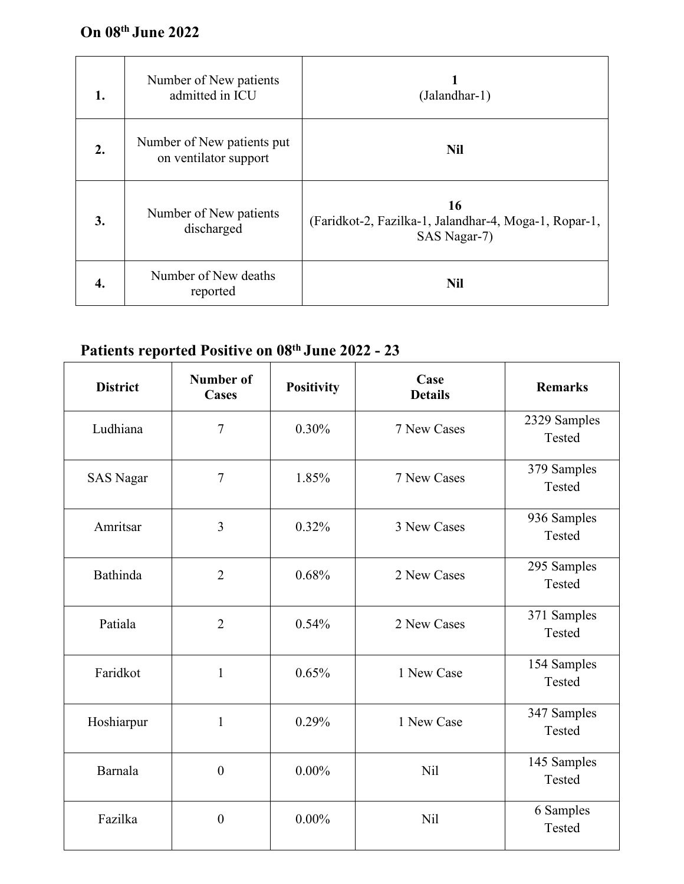| 1. | Number of New patients<br>admitted in ICU           | (Jalandhar-1)                                                               |
|----|-----------------------------------------------------|-----------------------------------------------------------------------------|
| 2. | Number of New patients put<br>on ventilator support | <b>Nil</b>                                                                  |
| 3. | Number of New patients<br>discharged                | 16<br>(Faridkot-2, Fazilka-1, Jalandhar-4, Moga-1, Ropar-1,<br>SAS Nagar-7) |
| 4. | Number of New deaths<br>reported                    | <b>Nil</b>                                                                  |

## **Patients reported Positive on 08 th June 2022 - 23**

| <b>District</b>  | <b>Number of</b><br><b>Cases</b> | Positivity | Case<br><b>Details</b> | <b>Remarks</b>         |
|------------------|----------------------------------|------------|------------------------|------------------------|
| Ludhiana         | $\overline{7}$                   | 0.30%      | 7 New Cases            | 2329 Samples<br>Tested |
| <b>SAS Nagar</b> | $\overline{7}$                   | 1.85%      | 7 New Cases            | 379 Samples<br>Tested  |
| Amritsar         | $\overline{3}$                   | 0.32%      | 3 New Cases            | 936 Samples<br>Tested  |
| Bathinda         | $\overline{2}$                   | 0.68%      | 2 New Cases            | 295 Samples<br>Tested  |
| Patiala          | $\overline{2}$                   | 0.54%      | 2 New Cases            | 371 Samples<br>Tested  |
| Faridkot         | $\mathbf{1}$                     | 0.65%      | 1 New Case             | 154 Samples<br>Tested  |
| Hoshiarpur       | $\mathbf{1}$                     | 0.29%      | 1 New Case             | 347 Samples<br>Tested  |
| Barnala          | $\boldsymbol{0}$                 | $0.00\%$   | <b>Nil</b>             | 145 Samples<br>Tested  |
| Fazilka          | $\boldsymbol{0}$                 | $0.00\%$   | <b>Nil</b>             | 6 Samples<br>Tested    |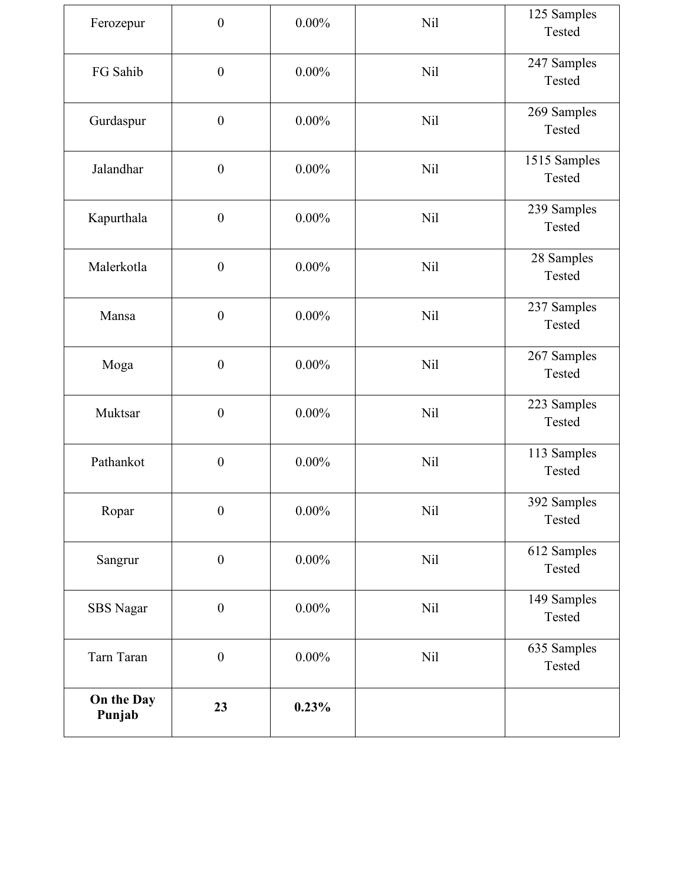| Ferozepur            | $\boldsymbol{0}$ | $0.00\%$ | <b>Nil</b> | 125 Samples<br>Tested  |
|----------------------|------------------|----------|------------|------------------------|
| FG Sahib             | $\boldsymbol{0}$ | $0.00\%$ | <b>Nil</b> | 247 Samples<br>Tested  |
| Gurdaspur            | $\boldsymbol{0}$ | $0.00\%$ | <b>Nil</b> | 269 Samples<br>Tested  |
| Jalandhar            | $\boldsymbol{0}$ | $0.00\%$ | <b>Nil</b> | 1515 Samples<br>Tested |
| Kapurthala           | $\boldsymbol{0}$ | $0.00\%$ | <b>Nil</b> | 239 Samples<br>Tested  |
| Malerkotla           | $\boldsymbol{0}$ | $0.00\%$ | <b>Nil</b> | 28 Samples<br>Tested   |
| Mansa                | $\boldsymbol{0}$ | $0.00\%$ | <b>Nil</b> | 237 Samples<br>Tested  |
| Moga                 | $\boldsymbol{0}$ | $0.00\%$ | Nil        | 267 Samples<br>Tested  |
| Muktsar              | $\boldsymbol{0}$ | $0.00\%$ | <b>Nil</b> | 223 Samples<br>Tested  |
| Pathankot            | $\boldsymbol{0}$ | $0.00\%$ | <b>Nil</b> | 113 Samples<br>Tested  |
| Ropar                | $\boldsymbol{0}$ | $0.00\%$ | <b>Nil</b> | 392 Samples<br>Tested  |
| Sangrur              | $\boldsymbol{0}$ | $0.00\%$ | <b>Nil</b> | 612 Samples<br>Tested  |
| SBS Nagar            | $\boldsymbol{0}$ | $0.00\%$ | Nil        | 149 Samples<br>Tested  |
| Tarn Taran           | $\boldsymbol{0}$ | $0.00\%$ | <b>Nil</b> | 635 Samples<br>Tested  |
| On the Day<br>Punjab | 23               | 0.23%    |            |                        |
|                      |                  |          |            |                        |